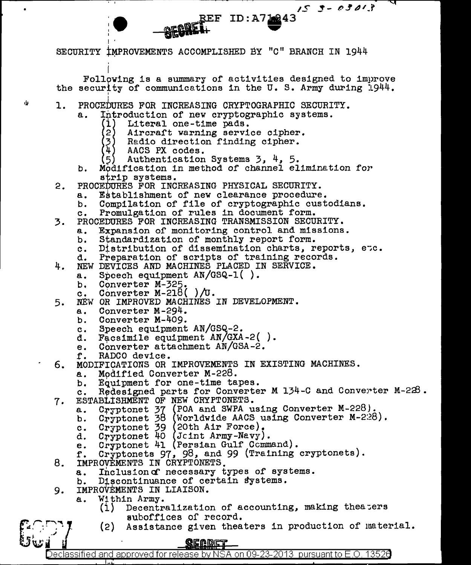SECURITY IMPROVEMENTS ACCOMPLISHED BY "C" BRANCH IN 1944

Following is a summary of activities designed to improve the security of communications in the U.S. Army during 1944.

REF ID:A712243

 $153 - 03013$ 

- $\mathbf{1}$ . PROCEDURES FOR INCREASING CRYPTOGRAPHIC SECURITY.
	- Introduction of new cryptographic systems. а.
		- (1) Literal one-time pads.
		- (2) Aircraft warning service cipher.
		- $\left( 3\right)$ Radio direction finding cipher.
		- ัั้น ) AACS PX codes.

ńs

- 5) Authentication Systems  $3, 4, 5$ .
- b. Modification in method of channel elimination for strip systems.
- $2.$ PROCEDURES FOR INCREASING PHYSICAL SECURITY.
	- Establishment of new clearance procedure. а.
	- Compilation of file of cryptographic custodians. b.
	- Promulgation of rules in document form.  $c_{\bullet}$
- PROCEDURES FOR INCREASING TRANSMISSION SECURITY. 3.
	- Expansion of monitoring control and missions. а.
	- b. Standardization of monthly report form.
	- Distribution of dissemination charts, reports, etc.  $c_{\bullet}$
	- Preparation of scripts of training records. d.
- 4. NEW DEVICES AND MACHINES PLACED IN SERVICE.
	- Speech equipment AN/GSQ-1(). a.
		- Converter M-325. b.
		- Converter  $M-218() / U.$  $\mathbf{c}$ .
- NEW OR IMPROVED MACHINES IN DEVELOPMENT. 5.
	- Converter M-294. а.
	- Converter M-409. b.
	- Speech equipment AN/GSQ-2.  $c_{\bullet}$
	- Facsimile equipment AN/GXA-2(). d.
	- Converter attachment AN/GSA-2. e.
	- f. RADCO device.

7.

- 6. MODIFICATIONS OR IMPROVEMENTS IN EXISTING MACHINES.
	- Modified Converter M-228.  $\mathbf{a}$ .
	- Equipment for one-time tapes. b.
	- Redesigned parts for Converter M 134-C and Converter M-228.  $c$ . ESTABLISHMENT OF NEW CRYPTONETS.
		- a.
		- Cryptonet 37 (POA and SWPA using Converter M-228).<br>Cryptonet 38 (Worldwide AACS using Converter M-228).<br>Cryptonet 39 (20th Air Force).<br>Cryptonet 40 (Joint Army-Navy).<br>Cryptonet 41 (Persian Gulf Command). b.
		- $\mathbf{c}$ .
		- d.
		- e.
		- Cryptonets 97, 98, and 99 (Training cryptonets).  $f$ .
- IMPROVEMENTS IN CRYPTONETS. 8.
	- Inclusion of necessary types of systems. **a.**
	- Discontinuance of certain systems. b.
- IMPROVEMENTS IN LIAISON. 9.
	- а. Within Army.
		- $(1)$ Decentralization of accounting, making theaters suboffices of record.
		- Assistance given theaters in production of material. (2)

## <u>QEADET</u>

Declassified and approved for release by NSA on 09-23-2013 pursuant to E.O. 13526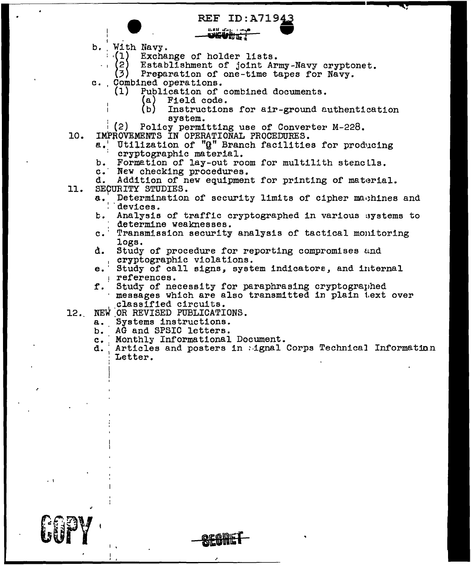**REF ID:A71943**  $R = \frac{1}{2}$  . And  $R = \frac{1}{2}$  ,  $R = \frac{1}{2}$  ,  $R = \frac{1}{2}$  ,  $R = \frac{1}{2}$  ,  $R = \frac{1}{2}$  ,  $R = \frac{1}{2}$  ,  $R = \frac{1}{2}$  ,  $R = \frac{1}{2}$  ,  $R = \frac{1}{2}$  ,  $R = \frac{1}{2}$  ,  $R = \frac{1}{2}$  ,  $R = \frac{1}{2}$  ,  $R = \frac{1}{2}$  ,  $R = \frac{1}{2}$  ,  $R = \frac{1$ 

b. With Navy.<br>(1) Exchange of holder lists.

<sup>i</sup>(2) Establishment of joint Army-Navy cryptonet. (3) Preparation of one-time tapes for Navy.<br>c. Combined operations.

- 
- - (1) Publication of combined documents.<br>(a) Field code.
		- (a) Field code.<br>(b) Instruction
		- Instructions for air-ground authentication<br>system.
	- i (2) Policy permitting use of Converter M-228.<br>IMPROVEMENTS IN OPERATIONAL PROCEDURES.
- 10.
	- a.' Utilization of "G" Branch facilities for producing<br>cryptographic material.<br>b. Formation of lay-out room for multilith stencils.
	- Formation of lay-out room for multilith stencils.
	- c. New checking procedures.

11. d. Addition of new equipment for printing of material. SECURITY STUDIES.<br>a. Determination

- Determination of security limits of cipher machines and devices.
- b. Analysis of traffic cryptographed in various systems to determine weaknesses.
- c. Transmission security analysis of tactical monitoring
- d. Study of procedure for reporting compromises and cryptographic violations.
- e. Study of call signs, system indicators, and internal references.
- f. Study of necessity for paraphrasing cryptographed messages which are also transmitted in plain 1.ext over classified circuits.
- 12 •. NEW *.OR* REVISED PUBLICATIONS.
	-
	- a. Systems instructions.<br>b. AG and SPSIC letters. AG and SPSIC letters.

• 1

 $\bullet$   $\bullet$   $\bullet$   $\bullet$   $\bullet$   $\bullet$   $\bullet$ 

I <u>. .</u>

- c. Monthly Informational Document.<br>d. Articles and posters in Agnal
- Articles and posters in : ignal Corps Technical Information Letter.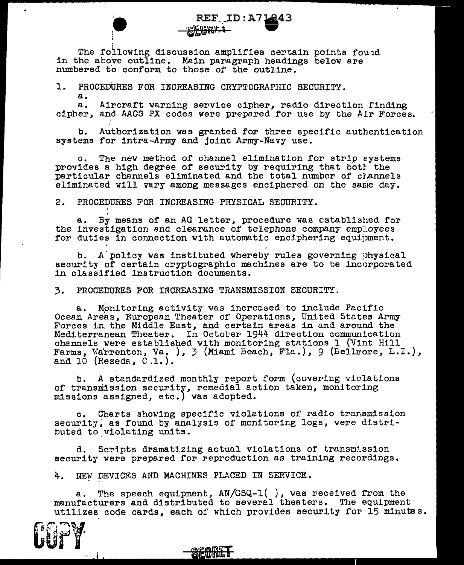REF.ID:A71043<br>
FEF.ID:A71043<br>
The following discussion amplifies certain points fou•d in the atove outline. Main paragraph headings below are numbered to conform to those of the outline.

1. PROCEDURES FOR INCREASING CRYPTOGRAPHIC SECURITY.

¦ I

I

a. a. Aircraft warning service cipher, radio direction finding cipher, and AACS PX codes were prepared for use by the Air Forces.

REF\_ID: A71243

b. Authorization was granted for three specific authentication b. Authorization was granted for three speesses for intra-Army and joint Army-Navy use.

c. The nev method of channel elimination for strip systems provides a high degree of security by requiring that bott the particular channels eliminated and the total number of channels eliminated will vary among messages enciphered on the same day.

2. PROCEDURES FOR INCREASING PHYSICAL SECURITY.

a. By means of an AG letter, procedure was established for a. By means of an AG letter, procedure was cstablished for the investigation and clearance of telephone company employees for duties in connection with automatic enciphering equipment.

b. A policy was instituted whereby rules governing physical security of certain cryptographic machines are to be incorporated in classified instruction documents.

3. PROCEDURES FOR INCREASING TRANSMISSION SECURITY.

a. Monitoring activity was increased to include Pecific Ocean Areas. European Theater of Operations, United Stctes Army Forces in the Middle Eust, and certain areas in and around the Mediterranean Theater. In Octocer 1944 direction communication channels were established with monitoring stations 1 (Vint Hill Farms, Warrenton, Va. ), 3 (Miami Beach, Fla.), 9 (Bellrore, L.I.), and  $10$  (Reseda,  $0.1.$ ).

b. A standardized monthly report form (covering violations of transmission security, remedial action taken, monitoring missions assigned, etc.) was adopted.

c. Charts showing specific violations of radio transmission security, as found by analysis of monitoring logs, were distributed to.violating units.

d. Scripts dramatizing actual violations of transmission security were prepared for reproduction as training recordings.

4. NEW DEVICES AND MACHINES PLACED IN SERVICE.

a. The speech equipment, AN/GSQ-1( *),* was received from the manufacturers and distributed to several theaters. The equipment utilizes code cards, each of which provides security for 15 minutes.

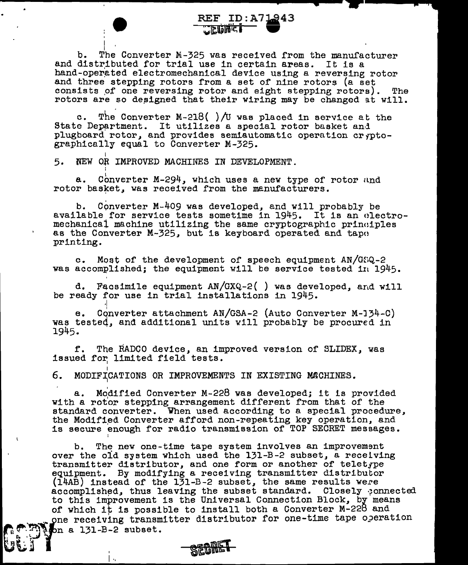$\mathbb{R}^n$ b. The Converter M-325 was received from the manufacturer b. The Converter M-325 was received from the manufactural distributed for trial use in certain areas. It is a hand-operated electromechanical device using a reversing rotor and three stepping rotors from a set of nine rotors (a set consists of one reversing rotor and eight stepping rotors). The rotors are so designed that their wiring may be changed at will.

REF ID: A71943

**CEQUE LA CONTECTIVATION** 

c. The Converter M-218( )/U was placed in service at the State Department. It utilizes a special rotor basket and plug board rotor, and provides semiautomatic operation er rotographically equal to Converter M-325.

5. NEW OR IMPROVED MACHINES IN DEVELOPMENT.

• 1

SEGMET

I;, • ':.\_\_;)

a. Converter M-294, which uses a new type of rotor and rotor basket, was received from the manufacturers.

b. Converter M--409 was developed, and will probably be available for service tests sometime in 1945. It is an electromechanical machine utilizing the same cryptographic principles as the Converter M-325, but is keyboard operated and tape printing.

c. Most of the development of speech equipment AN/GSQ-2 was accomplishedj the equipment will be service tested in 1945.

d. Facsimile equipment  $AN/GXQ-2($  ) was developed, and will be ready for use in trial installations in 1945.

e. Converter attachment AN/GSA-2 (Auto Converter M-J34-C) was tested, and additional units will probably be procured in 1945.

f. The RADCO device, an improved version of SLIDEX, was issued for limited field tests.

I 6. MODIFICATIONS OR IMPROVEMENTS IN EXISTING MACHINES.

a. Modified Converter M-228 was developed; it is provided with a rotor stepping arrangement different from that of the standard converter. When used according to a special procedure, the Modified Converter afford non-repeating key operation, and is secure enough for radio transmission of TOP SECRET messages.

b. The new one-time tape system involves an improvement over the old system which used the 131-B-2 subset. a receiving transmitter distributor, and one form or another of teletype equipment. By modifying a receiving transmitter distributor  $(14AB)$  instead of the 131-B-2 subset, the same results were accomplished, thus leaving the subset standard. Closely connected to this improvement is the Universal Connection Block, by means of which it is possible to install both a Converter M-228 and one receiving transmitter distributor for one-time tape operation  $\sqrt{2m}$  a 131-B-2 subset.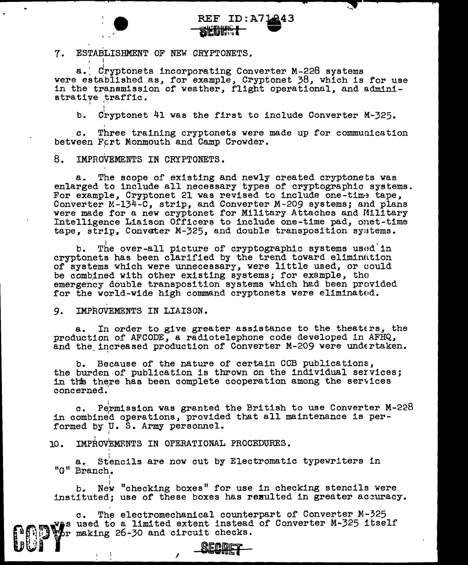

·-

7. ESTABLISHMENT OF NEW CRYPTONETS.

I '

I

' I

a. Cryptonets incorporating Converter M-228 systems were established as, for example, Cryptonet 38, which is for use in the transmission of weather, flight operational, and administrative traffic.

b. Cryptonet 41 was the first to include Converter M-325.

*c.* Three training cryptonets were made up for communication between Fort Monmouth and Camp Crowder.

8. IMPROVEMENTS IN CRYPTONETS.

a. The scope of existing and newly created cryptonets was enlarged to include all necessary types of cryptographic systems. For example, Cryptonet 21 was revised to include one-time tape,<br>Converter M-134-C, strip, and Converter M-209 systems; and plans<br>were made for a new cryptonet for Military Attaches and Military Intelligence Liaison Officers to include one-time pad, onet-time tape, strip, Convater M-325, and double transposition syatems.

b. The over-all picture of cryptographic systems used in cryptonets has been clarified by the trend toward eliminntion of systems which were unnecessary, were little used, or could be combined with other existing systems; for example, the emergency double transposition systems which had been provided for the world-wide high command cryptonets were eliminated.

9. IMPROVEMENTS IN LIAISON.

'

UVI

In order to give greater assistance to the theaters, the production of AFCODE, a radiotelephone code developed in AFHQ, and the increased production of Converter M-209 were undertaken.

b. Because of the nature of certain CCB publications,<br>the burden of publication is thrown on the individual services; in this there has been complete cooperation among the services concerned.'

c. Permission was granted the British to use Converter M-228 c. Permission was granted the British to use Converter M<br>in combined operations, provided that all maintenance is performed by U. S. Army personnel.

10. IMPROVEMENTS IN OPERATIONAL PROCEDURES.

I

a. Stencils are now cut by Electromatic typewriters in "G" Branch.

b. New "checking boxes" for use in checking stencils were instituted; use of these boxes has rexulted in greater accuracy.

s f - fia**n A**dl c. The electromechanical counterpart of Converter M-325 used to a limited extent instead of Converter M-325 itself making 26-30 and circuit checks.

<u>SECDE</u>